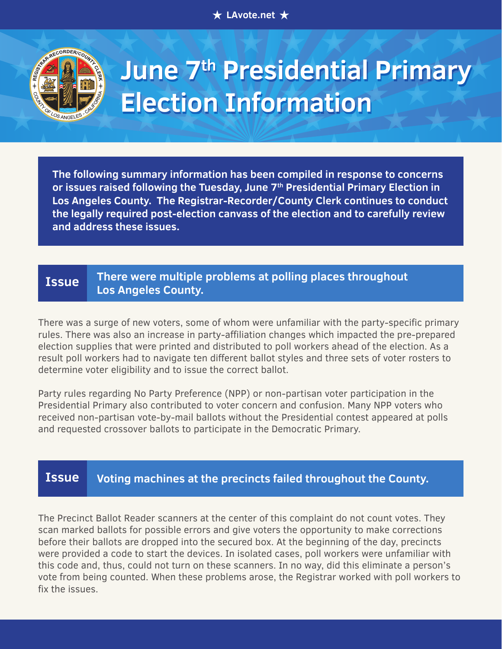**★ LAvote.net ★** 



# **June 7<sup>th</sup> Presidential Primary Election Information**

**The following summary information has been compiled in response to concerns or issues raised following the Tuesday, June 7th Presidential Primary Election in Los Angeles County. The Registrar-Recorder/County Clerk continues to conduct the legally required post-election canvass of the election and to carefully review and address these issues.**

## **There were multiple problems at polling places throughout Los Angeles County. Issue**

There was a surge of new voters, some of whom were unfamiliar with the party-specific primary rules. There was also an increase in party-affiliation changes which impacted the pre-prepared election supplies that were printed and distributed to poll workers ahead of the election. As a result poll workers had to navigate ten different ballot styles and three sets of voter rosters to determine voter eligibility and to issue the correct ballot.

Party rules regarding No Party Preference (NPP) or non-partisan voter participation in the Presidential Primary also contributed to voter concern and confusion. Many NPP voters who received non-partisan vote-by-mail ballots without the Presidential contest appeared at polls and requested crossover ballots to participate in the Democratic Primary.

#### **Voting machines at the precincts failed throughout the County. Issue**

The Precinct Ballot Reader scanners at the center of this complaint do not count votes. They scan marked ballots for possible errors and give voters the opportunity to make corrections before their ballots are dropped into the secured box. At the beginning of the day, precincts were provided a code to start the devices. In isolated cases, poll workers were unfamiliar with this code and, thus, could not turn on these scanners. In no way, did this eliminate a person's vote from being counted. When these problems arose, the Registrar worked with poll workers to fix the issues.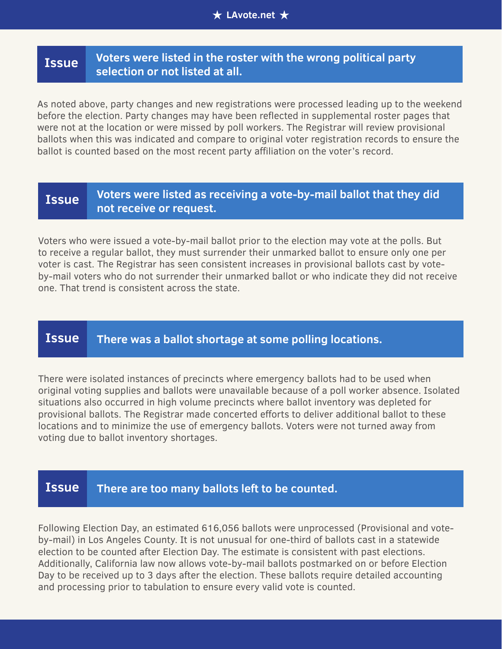## **Voters were listed in the roster with the wrong political party selection or not listed at all. Issue**

As noted above, party changes and new registrations were processed leading up to the weekend before the election. Party changes may have been reflected in supplemental roster pages that were not at the location or were missed by poll workers. The Registrar will review provisional ballots when this was indicated and compare to original voter registration records to ensure the ballot is counted based on the most recent party affiliation on the voter's record.

## **Voters were listed as receiving a vote-by-mail ballot that they did not receive or request. Issue**

Voters who were issued a vote-by-mail ballot prior to the election may vote at the polls. But to receive a regular ballot, they must surrender their unmarked ballot to ensure only one per voter is cast. The Registrar has seen consistent increases in provisional ballots cast by voteby-mail voters who do not surrender their unmarked ballot or who indicate they did not receive one. That trend is consistent across the state.

# **Issue There was a ballot shortage at some polling locations.**

There were isolated instances of precincts where emergency ballots had to be used when original voting supplies and ballots were unavailable because of a poll worker absence. Isolated situations also occurred in high volume precincts where ballot inventory was depleted for provisional ballots. The Registrar made concerted efforts to deliver additional ballot to these locations and to minimize the use of emergency ballots. Voters were not turned away from voting due to ballot inventory shortages.

### **There are too many ballots left to be counted. Issue**

Following Election Day, an estimated 616,056 ballots were unprocessed (Provisional and voteby-mail) in Los Angeles County. It is not unusual for one-third of ballots cast in a statewide election to be counted after Election Day. The estimate is consistent with past elections. Additionally, California law now allows vote-by-mail ballots postmarked on or before Election Day to be received up to 3 days after the election. These ballots require detailed accounting and processing prior to tabulation to ensure every valid vote is counted.